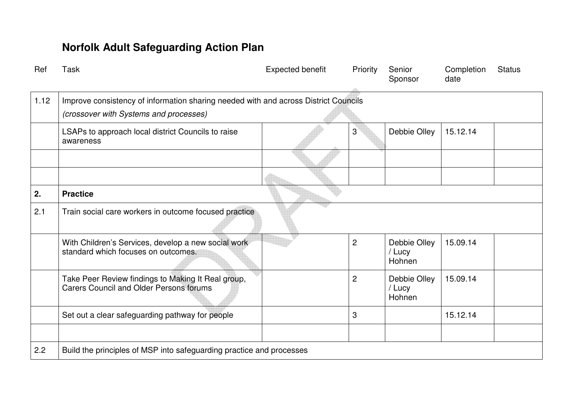| Ref  | <b>Task</b>                                                                             | <b>Expected benefit</b> | Priority       | Senior<br>Sponsor                | Completion<br>date | <b>Status</b> |  |  |
|------|-----------------------------------------------------------------------------------------|-------------------------|----------------|----------------------------------|--------------------|---------------|--|--|
| 1.10 | Continue to plan for the new statutory duties under the Care Act                        |                         |                |                                  |                    |               |  |  |
|      | Ensure the Transformation plan takes account of the<br><b>Safeguarding Adults Board</b> |                         | $\overline{c}$ | Janice Dane                      | 15.09.14           |               |  |  |
|      | Project to report to the Board as appropriate                                           |                         | $\overline{c}$ | Janice Dane                      | 15.09.14           |               |  |  |
|      |                                                                                         |                         |                |                                  |                    |               |  |  |
| 1.11 | Develop a multi-agency training strategy<br>(Practice)                                  |                         |                |                                  |                    |               |  |  |
|      | Review existing training programme                                                      |                         | $\overline{c}$ | Debbie Olley<br>/ Lucy<br>Hohnen | 15.09.14           |               |  |  |
|      | Hold workshops to identify what staff need                                              |                         | 3              | Debbie Olley<br>/ Lucy<br>Hohnen | 15.12.14           |               |  |  |
|      | Draft strategy                                                                          |                         | 3              | Debbie Olley<br>/ Lucy<br>Hohnen | 15.12.14           |               |  |  |
|      | Implement strategy                                                                      |                         | 3              | Debbie Olley<br>/ Lucy<br>Hohnen | 15.12.14           |               |  |  |
|      |                                                                                         |                         |                |                                  |                    |               |  |  |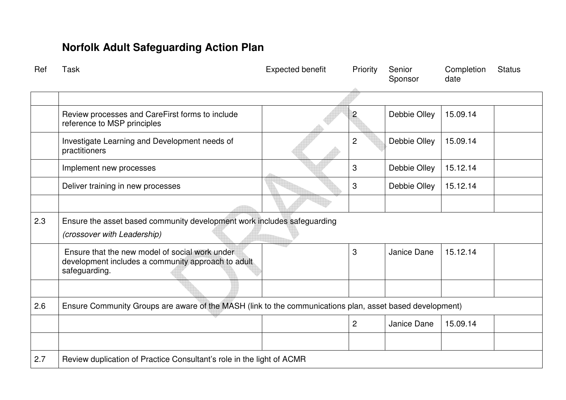| Ref  | <b>Task</b>                                                                                                                   | Expected benefit | Priority       | Senior<br>Sponsor                | Completion<br>date | <b>Status</b> |  |  |
|------|-------------------------------------------------------------------------------------------------------------------------------|------------------|----------------|----------------------------------|--------------------|---------------|--|--|
| 1.12 | Improve consistency of information sharing needed with and across District Councils<br>(crossover with Systems and processes) |                  |                |                                  |                    |               |  |  |
|      | LSAPs to approach local district Councils to raise<br>awareness                                                               |                  | $3^{\circ}$    | Debbie Olley                     | 15.12.14           |               |  |  |
|      |                                                                                                                               |                  |                |                                  |                    |               |  |  |
|      |                                                                                                                               |                  |                |                                  |                    |               |  |  |
| 2.   | <b>Practice</b>                                                                                                               |                  |                |                                  |                    |               |  |  |
| 2.1  | Train social care workers in outcome focused practice                                                                         |                  |                |                                  |                    |               |  |  |
|      | With Children's Services, develop a new social work<br>standard which focuses on outcomes.                                    |                  | $\overline{2}$ | Debbie Olley<br>/ Lucy<br>Hohnen | 15.09.14           |               |  |  |
|      | Take Peer Review findings to Making It Real group,<br><b>Carers Council and Older Persons forums</b>                          |                  | $\overline{2}$ | Debbie Olley<br>/ Lucy<br>Hohnen | 15.09.14           |               |  |  |
|      | Set out a clear safeguarding pathway for people                                                                               |                  | 3              |                                  | 15.12.14           |               |  |  |
|      |                                                                                                                               |                  |                |                                  |                    |               |  |  |
| 2.2  | Build the principles of MSP into safeguarding practice and processes                                                          |                  |                |                                  |                    |               |  |  |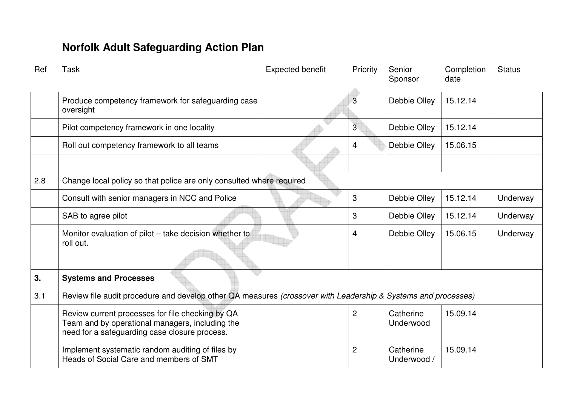| Ref | Task                                                                                                                  | <b>Expected benefit</b> | Priority       | Senior<br>Sponsor | Completion<br>date | <b>Status</b> |  |  |
|-----|-----------------------------------------------------------------------------------------------------------------------|-------------------------|----------------|-------------------|--------------------|---------------|--|--|
|     |                                                                                                                       |                         |                |                   |                    |               |  |  |
|     | Review processes and CareFirst forms to include<br>reference to MSP principles                                        |                         | $\overline{c}$ | Debbie Olley      | 15.09.14           |               |  |  |
|     | Investigate Learning and Development needs of<br>practitioners                                                        |                         | $\overline{2}$ | Debbie Olley      | 15.09.14           |               |  |  |
|     | Implement new processes                                                                                               |                         | 3              | Debbie Olley      | 15.12.14           |               |  |  |
|     | Deliver training in new processes                                                                                     |                         | 3              | Debbie Olley      | 15.12.14           |               |  |  |
|     |                                                                                                                       |                         |                |                   |                    |               |  |  |
| 2.3 | Ensure the asset based community development work includes safeguarding<br>(crossover with Leadership)                |                         |                |                   |                    |               |  |  |
|     | Ensure that the new model of social work under<br>development includes a community approach to adult<br>safeguarding. |                         | 3              | Janice Dane       | 15.12.14           |               |  |  |
|     |                                                                                                                       |                         |                |                   |                    |               |  |  |
| 2.6 | Ensure Community Groups are aware of the MASH (link to the communications plan, asset based development)              |                         |                |                   |                    |               |  |  |
|     |                                                                                                                       |                         | $\overline{2}$ | Janice Dane       | 15.09.14           |               |  |  |
|     |                                                                                                                       |                         |                |                   |                    |               |  |  |
| 2.7 | Review duplication of Practice Consultant's role in the light of ACMR                                                 |                         |                |                   |                    |               |  |  |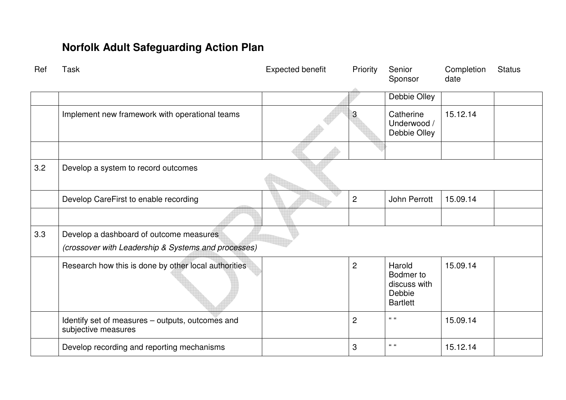| Ref | Task                                                                                                                                                 | <b>Expected benefit</b> | Priority       | Senior<br>Sponsor        | Completion<br>date | <b>Status</b> |
|-----|------------------------------------------------------------------------------------------------------------------------------------------------------|-------------------------|----------------|--------------------------|--------------------|---------------|
|     | Produce competency framework for safeguarding case<br>oversight                                                                                      |                         | 3              | Debbie Olley             | 15.12.14           |               |
|     | Pilot competency framework in one locality                                                                                                           |                         | 3              | Debbie Olley             | 15.12.14           |               |
|     | Roll out competency framework to all teams                                                                                                           |                         | 4              | Debbie Olley             | 15.06.15           |               |
|     |                                                                                                                                                      |                         |                |                          |                    |               |
| 2.8 | Change local policy so that police are only consulted where required                                                                                 |                         |                |                          |                    |               |
|     | Consult with senior managers in NCC and Police                                                                                                       |                         | 3              | Debbie Olley             | 15.12.14           | Underway      |
|     | SAB to agree pilot                                                                                                                                   |                         | 3              | Debbie Olley             | 15.12.14           | Underway      |
|     | Monitor evaluation of pilot - take decision whether to<br>roll out.                                                                                  |                         | 4              | Debbie Olley             | 15.06.15           | Underway      |
|     |                                                                                                                                                      |                         |                |                          |                    |               |
| 3.  | <b>Systems and Processes</b>                                                                                                                         |                         |                |                          |                    |               |
| 3.1 | Review file audit procedure and develop other QA measures (crossover with Leadership & Systems and processes)                                        |                         |                |                          |                    |               |
|     | Review current processes for file checking by QA<br>Team and by operational managers, including the<br>need for a safeguarding case closure process. |                         | $\overline{2}$ | Catherine<br>Underwood   | 15.09.14           |               |
|     | Implement systematic random auditing of files by<br>Heads of Social Care and members of SMT                                                          |                         | $\overline{2}$ | Catherine<br>Underwood / | 15.09.14           |               |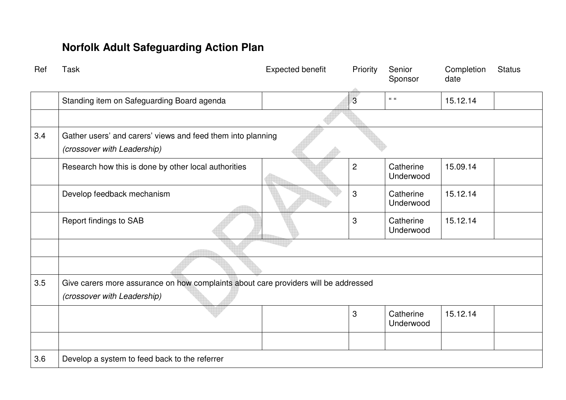| Ref | <b>Task</b>                                                                                    | Expected benefit | Priority       | Senior<br>Sponsor                                                | Completion<br>date | <b>Status</b> |
|-----|------------------------------------------------------------------------------------------------|------------------|----------------|------------------------------------------------------------------|--------------------|---------------|
|     |                                                                                                |                  |                | <b>Debbie Olley</b>                                              |                    |               |
|     | Implement new framework with operational teams                                                 |                  | 3              | Catherine<br>Underwood /<br>Debbie Olley                         | 15.12.14           |               |
|     |                                                                                                |                  |                |                                                                  |                    |               |
| 3.2 | Develop a system to record outcomes                                                            |                  |                |                                                                  |                    |               |
|     | Develop CareFirst to enable recording                                                          |                  | $\overline{2}$ | <b>John Perrott</b>                                              | 15.09.14           |               |
|     |                                                                                                |                  |                |                                                                  |                    |               |
| 3.3 | Develop a dashboard of outcome measures<br>(crossover with Leadership & Systems and processes) |                  |                |                                                                  |                    |               |
|     | Research how this is done by other local authorities                                           |                  | $\overline{2}$ | Harold<br>Bodmer to<br>discuss with<br>Debbie<br><b>Bartlett</b> | 15.09.14           |               |
|     | Identify set of measures - outputs, outcomes and<br>subjective measures                        |                  | $\overline{2}$ | $66-66$                                                          | 15.09.14           |               |
|     | Develop recording and reporting mechanisms                                                     |                  | 3              | $66-66$                                                          | 15.12.14           |               |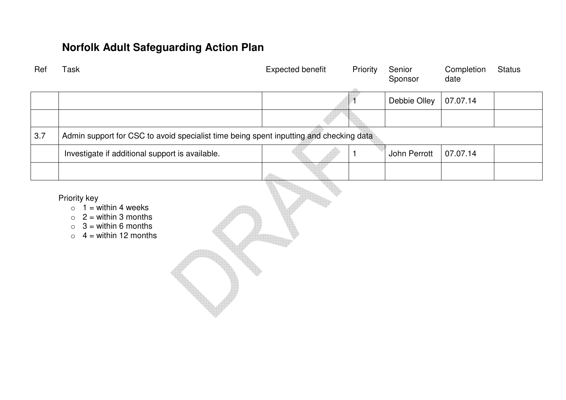| Ref | <b>Task</b>                                                                                | Expected benefit | Priority       | Senior<br>Sponsor      | Completion<br>date | <b>Status</b> |  |  |
|-----|--------------------------------------------------------------------------------------------|------------------|----------------|------------------------|--------------------|---------------|--|--|
|     | Standing item on Safeguarding Board agenda                                                 |                  | $\overline{3}$ | $\alpha$ $\alpha$      | 15.12.14           |               |  |  |
|     |                                                                                            |                  |                |                        |                    |               |  |  |
| 3.4 | Gather users' and carers' views and feed them into planning<br>(crossover with Leadership) |                  |                |                        |                    |               |  |  |
|     | Research how this is done by other local authorities                                       |                  | $\overline{2}$ | Catherine<br>Underwood | 15.09.14           |               |  |  |
|     | Develop feedback mechanism                                                                 |                  | 3              | Catherine<br>Underwood | 15.12.14           |               |  |  |
|     | <b>Report findings to SAB</b>                                                              |                  | 3              | Catherine<br>Underwood | 15.12.14           |               |  |  |
|     |                                                                                            |                  |                |                        |                    |               |  |  |
|     |                                                                                            |                  |                |                        |                    |               |  |  |
| 3.5 | Give carers more assurance on how complaints about care providers will be addressed        |                  |                |                        |                    |               |  |  |
|     | (crossover with Leadership)                                                                |                  |                |                        |                    |               |  |  |
|     |                                                                                            |                  | 3              | Catherine<br>Underwood | 15.12.14           |               |  |  |
|     |                                                                                            |                  |                |                        |                    |               |  |  |
| 3.6 | Develop a system to feed back to the referrer                                              |                  |                |                        |                    |               |  |  |